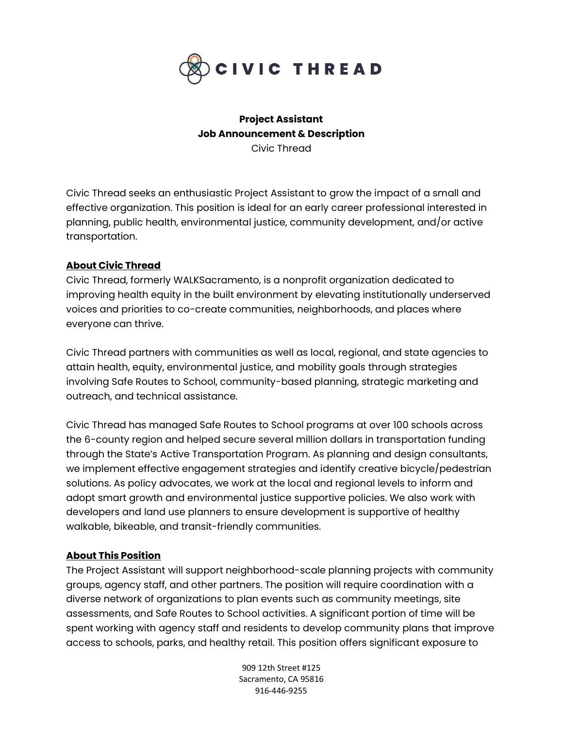

# **Project Assistant Job Announcement & Description** Civic Thread

Civic Thread seeks an enthusiastic Project Assistant to grow the impact of a small and effective organization. This position is ideal for an early career professional interested in planning, public health, environmental justice, community development, and/or active transportation.

### **About Civic Thread**

Civic Thread, formerly WALKSacramento, is a nonprofit organization dedicated to improving health equity in the built environment by elevating institutionally underserved voices and priorities to co-create communities, neighborhoods, and places where everyone can thrive.

Civic Thread partners with communities as well as local, regional, and state agencies to attain health, equity, environmental justice, and mobility goals through strategies involving Safe Routes to School, community-based planning, strategic marketing and outreach, and technical assistance.

Civic Thread has managed Safe Routes to School programs at over 100 schools across the 6-county region and helped secure several million dollars in transportation funding through the State's Active Transportation Program. As planning and design consultants, we implement effective engagement strategies and identify creative bicycle/pedestrian solutions. As policy advocates, we work at the local and regional levels to inform and adopt smart growth and environmental justice supportive policies. We also work with developers and land use planners to ensure development is supportive of healthy walkable, bikeable, and transit-friendly communities.

#### **About This Position**

The Project Assistant will support neighborhood-scale planning projects with community groups, agency staff, and other partners. The position will require coordination with a diverse network of organizations to plan events such as community meetings, site assessments, and Safe Routes to School activities. A significant portion of time will be spent working with agency staff and residents to develop community plans that improve access to schools, parks, and healthy retail. This position offers significant exposure to

> 909 12th Street #125 Sacramento, CA 95816 916-446-9255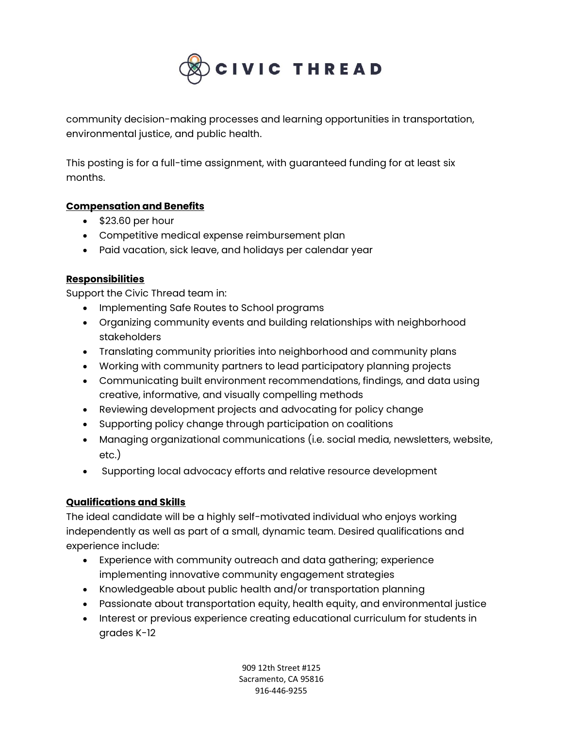

community decision-making processes and learning opportunities in transportation, environmental justice, and public health.

This posting is for a full-time assignment, with guaranteed funding for at least six months.

### **Compensation and Benefits**

- \$23.60 per hour
- Competitive medical expense reimbursement plan
- Paid vacation, sick leave, and holidays per calendar year

# **Responsibilities**

Support the Civic Thread team in:

- Implementing Safe Routes to School programs
- Organizing community events and building relationships with neighborhood stakeholders
- Translating community priorities into neighborhood and community plans
- Working with community partners to lead participatory planning projects
- Communicating built environment recommendations, findings, and data using creative, informative, and visually compelling methods
- Reviewing development projects and advocating for policy change
- Supporting policy change through participation on coalitions
- Managing organizational communications (i.e. social media, newsletters, website, etc.)
- Supporting local advocacy efforts and relative resource development

#### **Qualifications and Skills**

The ideal candidate will be a highly self-motivated individual who enjoys working independently as well as part of a small, dynamic team. Desired qualifications and experience include:

- Experience with community outreach and data gathering; experience implementing innovative community engagement strategies
- Knowledgeable about public health and/or transportation planning
- Passionate about transportation equity, health equity, and environmental justice
- Interest or previous experience creating educational curriculum for students in grades K-12

909 12th Street #125 Sacramento, CA 95816 916-446-9255